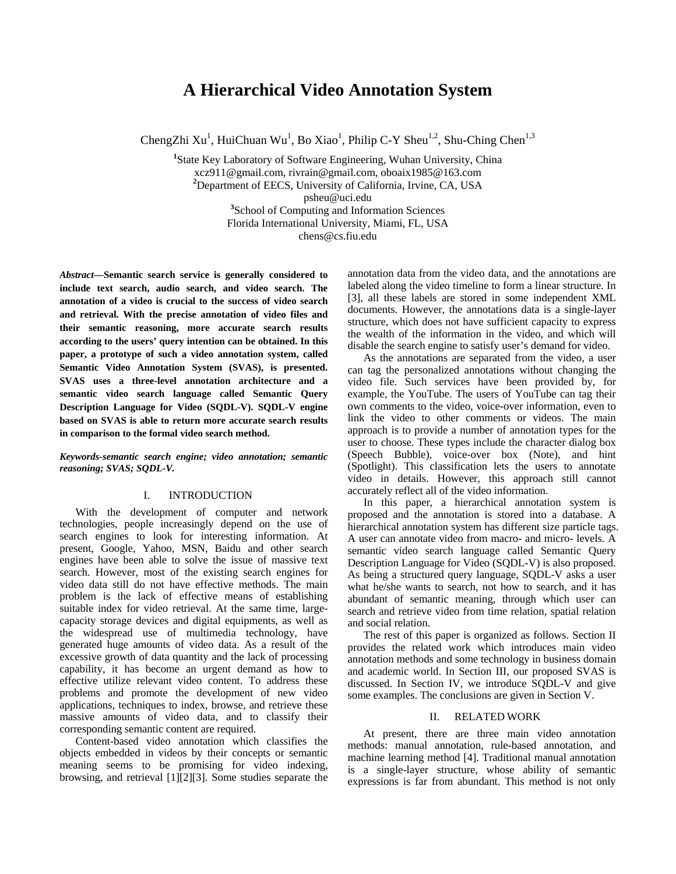# **A Hierarchical Video Annotation System**

ChengZhi Xu<sup>1</sup>, HuiChuan Wu<sup>1</sup>, Bo Xiao<sup>1</sup>, Philip C-Y Sheu<sup>1,2</sup>, Shu-Ching Chen<sup>1,3</sup>

<sup>1</sup>State Key Laboratory of Software Engineering, Wuhan University, China xcz911@gmail.com, rivrain@gmail.com, oboaix1985@163.com **2** Department of EECS, University of California, Irvine, CA, USA psheu@uci.edu **3** School of Computing and Information Sciences

Florida International University, Miami, FL, USA

chens@cs.fiu.edu

*Abstract—***Semantic search service is generally considered to include text search, audio search, and video search. The annotation of a video is crucial to the success of video search and retrieval. With the precise annotation of video files and their semantic reasoning, more accurate search results according to the users' query intention can be obtained. In this paper, a prototype of such a video annotation system, called Semantic Video Annotation System (SVAS), is presented. SVAS uses a three-level annotation architecture and a semantic video search language called Semantic Query Description Language for Video (SQDL-V). SQDL-V engine based on SVAS is able to return more accurate search results in comparison to the formal video search method.** 

*Keywords-semantic search engine; video annotation; semantic reasoning; SVAS; SQDL-V.* 

#### I. INTRODUCTION

With the development of computer and network technologies, people increasingly depend on the use of search engines to look for interesting information. At present, Google, Yahoo, MSN, Baidu and other search engines have been able to solve the issue of massive text search. However, most of the existing search engines for video data still do not have effective methods. The main problem is the lack of effective means of establishing suitable index for video retrieval. At the same time, largecapacity storage devices and digital equipments, as well as the widespread use of multimedia technology, have generated huge amounts of video data. As a result of the excessive growth of data quantity and the lack of processing capability, it has become an urgent demand as how to effective utilize relevant video content. To address these problems and promote the development of new video applications, techniques to index, browse, and retrieve these massive amounts of video data, and to classify their corresponding semantic content are required.

Content-based video annotation which classifies the objects embedded in videos by their concepts or semantic meaning seems to be promising for video indexing, browsing, and retrieval [1][2][3]. Some studies separate the

annotation data from the video data, and the annotations are labeled along the video timeline to form a linear structure. In [3], all these labels are stored in some independent XML documents. However, the annotations data is a single-layer structure, which does not have sufficient capacity to express the wealth of the information in the video, and which will disable the search engine to satisfy user's demand for video.

As the annotations are separated from the video, a user can tag the personalized annotations without changing the video file. Such services have been provided by, for example, the YouTube. The users of YouTube can tag their own comments to the video, voice-over information, even to link the video to other comments or videos. The main approach is to provide a number of annotation types for the user to choose. These types include the character dialog box (Speech Bubble), voice-over box (Note), and hint (Spotlight). This classification lets the users to annotate video in details. However, this approach still cannot accurately reflect all of the video information.

In this paper, a hierarchical annotation system is proposed and the annotation is stored into a database. A hierarchical annotation system has different size particle tags. A user can annotate video from macro- and micro- levels. A semantic video search language called Semantic Query Description Language for Video (SQDL-V) is also proposed. As being a structured query language, SQDL-V asks a user what he/she wants to search, not how to search, and it has abundant of semantic meaning, through which user can search and retrieve video from time relation, spatial relation and social relation.

The rest of this paper is organized as follows. Section II provides the related work which introduces main video annotation methods and some technology in business domain and academic world. In Section III, our proposed SVAS is discussed. In Section IV, we introduce SQDL-V and give some examples. The conclusions are given in Section V.

#### II. RELATED WORK

At present, there are three main video annotation methods: manual annotation, rule-based annotation, and machine learning method [4]. Traditional manual annotation is a single-layer structure, whose ability of semantic expressions is far from abundant. This method is not only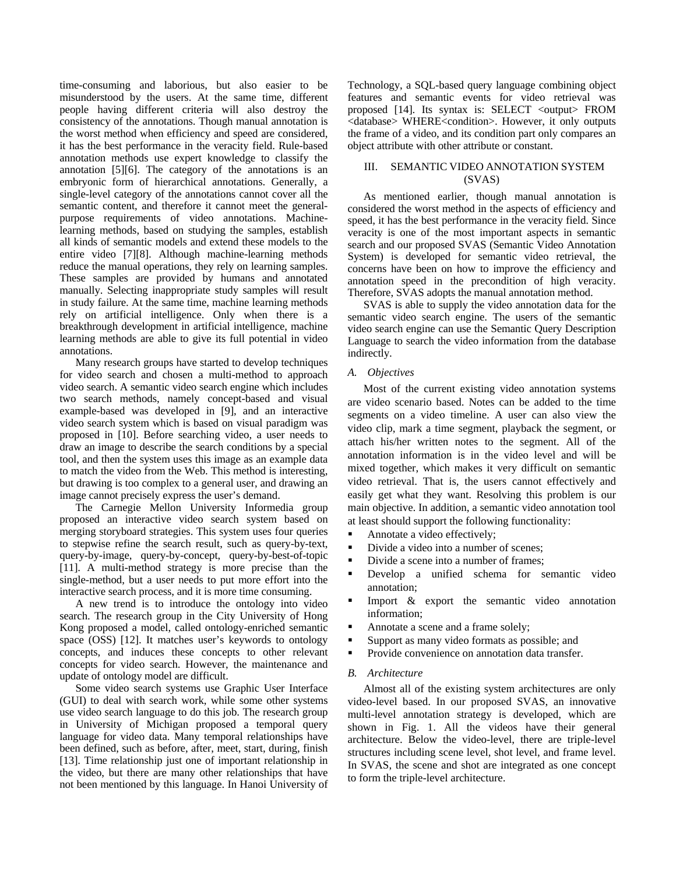time-consuming and laborious, but also easier to be misunderstood by the users. At the same time, different people having different criteria will also destroy the consistency of the annotations. Though manual annotation is the worst method when efficiency and speed are considered, it has the best performance in the veracity field. Rule-based annotation methods use expert knowledge to classify the annotation [5][6]. The category of the annotations is an embryonic form of hierarchical annotations. Generally, a single-level category of the annotations cannot cover all the semantic content, and therefore it cannot meet the generalpurpose requirements of video annotations. Machinelearning methods, based on studying the samples, establish all kinds of semantic models and extend these models to the entire video [7][8]. Although machine-learning methods reduce the manual operations, they rely on learning samples. These samples are provided by humans and annotated manually. Selecting inappropriate study samples will result in study failure. At the same time, machine learning methods rely on artificial intelligence. Only when there is a breakthrough development in artificial intelligence, machine learning methods are able to give its full potential in video annotations.

Many research groups have started to develop techniques for video search and chosen a multi-method to approach video search. A semantic video search engine which includes two search methods, namely concept-based and visual example-based was developed in [9], and an interactive video search system which is based on visual paradigm was proposed in [10]. Before searching video, a user needs to draw an image to describe the search conditions by a special tool, and then the system uses this image as an example data to match the video from the Web. This method is interesting, but drawing is too complex to a general user, and drawing an image cannot precisely express the user's demand.

The Carnegie Mellon University Informedia group proposed an interactive video search system based on merging storyboard strategies. This system uses four queries to stepwise refine the search result, such as query-by-text, query-by-image, query-by-concept, query-by-best-of-topic [11]. A multi-method strategy is more precise than the single-method, but a user needs to put more effort into the interactive search process, and it is more time consuming.

A new trend is to introduce the ontology into video search. The research group in the City University of Hong Kong proposed a model, called ontology-enriched semantic space (OSS) [12]. It matches user's keywords to ontology concepts, and induces these concepts to other relevant concepts for video search. However, the maintenance and update of ontology model are difficult.

Some video search systems use Graphic User Interface (GUI) to deal with search work, while some other systems use video search language to do this job. The research group in University of Michigan proposed a temporal query language for video data. Many temporal relationships have been defined, such as before, after, meet, start, during, finish [13]. Time relationship just one of important relationship in the video, but there are many other relationships that have not been mentioned by this language. In Hanoi University of

Technology, a SQL-based query language combining object features and semantic events for video retrieval was proposed [14]. Its syntax is: SELECT <output> FROM <database> WHERE<condition>. However, it only outputs the frame of a video, and its condition part only compares an object attribute with other attribute or constant.

## III. SEMANTIC VIDEO ANNOTATION SYSTEM (SVAS)

As mentioned earlier, though manual annotation is considered the worst method in the aspects of efficiency and speed, it has the best performance in the veracity field. Since veracity is one of the most important aspects in semantic search and our proposed SVAS (Semantic Video Annotation System) is developed for semantic video retrieval, the concerns have been on how to improve the efficiency and annotation speed in the precondition of high veracity. Therefore, SVAS adopts the manual annotation method.

SVAS is able to supply the video annotation data for the semantic video search engine. The users of the semantic video search engine can use the Semantic Query Description Language to search the video information from the database indirectly.

## *A. Objectives*

Most of the current existing video annotation systems are video scenario based. Notes can be added to the time segments on a video timeline. A user can also view the video clip, mark a time segment, playback the segment, or attach his/her written notes to the segment. All of the annotation information is in the video level and will be mixed together, which makes it very difficult on semantic video retrieval. That is, the users cannot effectively and easily get what they want. Resolving this problem is our main objective. In addition, a semantic video annotation tool at least should support the following functionality:

- Annotate a video effectively;
- Divide a video into a number of scenes;
- Divide a scene into a number of frames;
- Develop a unified schema for semantic video annotation;
- Import & export the semantic video annotation information;
- Annotate a scene and a frame solely;
- Support as many video formats as possible; and
- Provide convenience on annotation data transfer.

#### *B. Architecture*

Almost all of the existing system architectures are only video-level based. In our proposed SVAS, an innovative multi-level annotation strategy is developed, which are shown in Fig. 1. All the videos have their general architecture. Below the video-level, there are triple-level structures including scene level, shot level, and frame level. In SVAS, the scene and shot are integrated as one concept to form the triple-level architecture.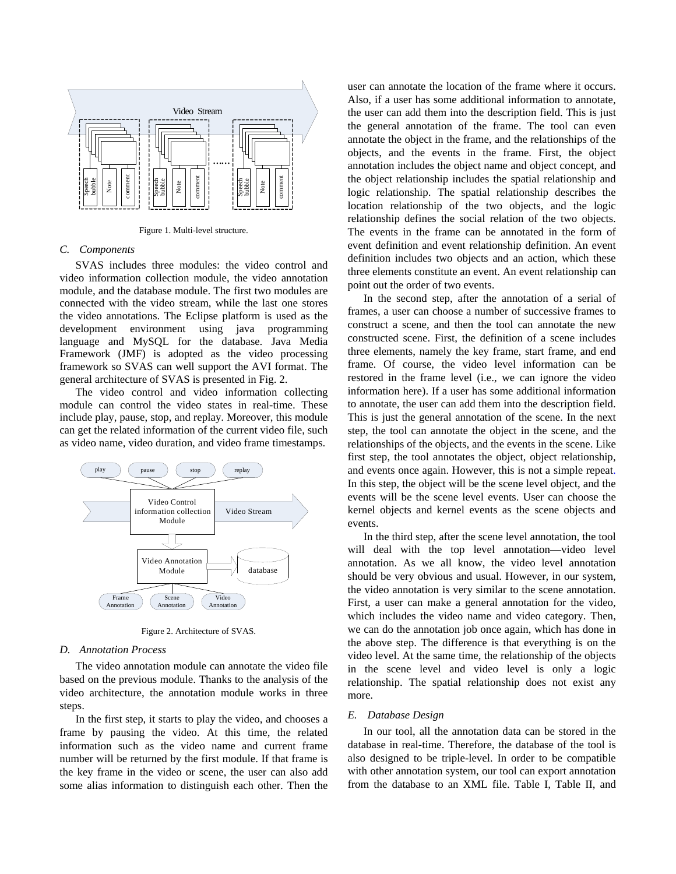

Figure 1. Multi-level structure.

#### *C. Components*

SVAS includes three modules: the video control and video information collection module, the video annotation module, and the database module. The first two modules are connected with the video stream, while the last one stores the video annotations. The Eclipse platform is used as the development environment using java programming language and MySQL for the database. Java Media Framework (JMF) is adopted as the video processing framework so SVAS can well support the AVI format. The general architecture of SVAS is presented in Fig. 2.

The video control and video information collecting module can control the video states in real-time. These include play, pause, stop, and replay. Moreover, this module can get the related information of the current video file, such as video name, video duration, and video frame timestamps.



Figure 2. Architecture of SVAS.

#### *D. Annotation Process*

The video annotation module can annotate the video file based on the previous module. Thanks to the analysis of the video architecture, the annotation module works in three steps.

In the first step, it starts to play the video, and chooses a frame by pausing the video. At this time, the related information such as the video name and current frame number will be returned by the first module. If that frame is the key frame in the video or scene, the user can also add some alias information to distinguish each other. Then the user can annotate the location of the frame where it occurs. Also, if a user has some additional information to annotate, the user can add them into the description field. This is just the general annotation of the frame. The tool can even annotate the object in the frame, and the relationships of the objects, and the events in the frame. First, the object annotation includes the object name and object concept, and the object relationship includes the spatial relationship and logic relationship. The spatial relationship describes the location relationship of the two objects, and the logic relationship defines the social relation of the two objects. The events in the frame can be annotated in the form of event definition and event relationship definition. An event definition includes two objects and an action, which these three elements constitute an event. An event relationship can point out the order of two events.

In the second step, after the annotation of a serial of frames, a user can choose a number of successive frames to construct a scene, and then the tool can annotate the new constructed scene. First, the definition of a scene includes three elements, namely the key frame, start frame, and end frame. Of course, the video level information can be restored in the frame level (i.e., we can ignore the video information here). If a user has some additional information to annotate, the user can add them into the description field. This is just the general annotation of the scene. In the next step, the tool can annotate the object in the scene, and the relationships of the objects, and the events in the scene. Like first step, the tool annotates the object, object relationship, and events once again. However, this is not a simple repeat. In this step, the object will be the scene level object, and the events will be the scene level events. User can choose the kernel objects and kernel events as the scene objects and events.

In the third step, after the scene level annotation, the tool will deal with the top level annotation—video level annotation. As we all know, the video level annotation should be very obvious and usual. However, in our system, the video annotation is very similar to the scene annotation. First, a user can make a general annotation for the video, which includes the video name and video category. Then, we can do the annotation job once again, which has done in the above step. The difference is that everything is on the video level. At the same time, the relationship of the objects in the scene level and video level is only a logic relationship. The spatial relationship does not exist any more.

## *E. Database Design*

In our tool, all the annotation data can be stored in the database in real-time. Therefore, the database of the tool is also designed to be triple-level. In order to be compatible with other annotation system, our tool can export annotation from the database to an XML file. Table I, Table II, and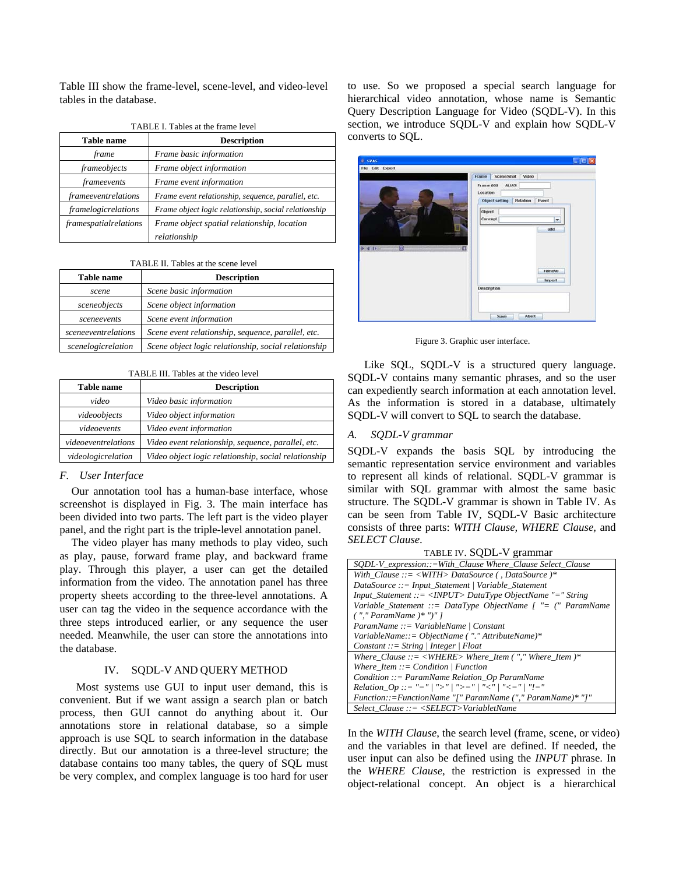Table III show the frame-level, scene-level, and video-level tables in the database.

| <b>Table name</b>     | <b>Description</b>                                   |  |
|-----------------------|------------------------------------------------------|--|
| frame                 | Frame basic information                              |  |
| frameobjects          | Frame object information                             |  |
| frameevents           | Frame event information                              |  |
| frameeventrelations   | Frame event relationship, sequence, parallel, etc.   |  |
| framelogicrelations   | Frame object logic relationship, social relationship |  |
| framespatialrelations | Frame object spatial relationship, location          |  |
|                       | relationship                                         |  |

TABLE I. Tables at the frame level

| TABLE II. Tables at the scene level |
|-------------------------------------|
|-------------------------------------|

| <b>Table name</b>   | <b>Description</b>                                   |
|---------------------|------------------------------------------------------|
| scene               | Scene basic information                              |
| sceneobjects        | Scene object information                             |
| sceneevents         | Scene event information                              |
| sceneeventrelations | Scene event relationship, sequence, parallel, etc.   |
| scenelogicrelation  | Scene object logic relationship, social relationship |

TABLE III. Tables at the video level

| Table name          | <b>Description</b>                                   |  |
|---------------------|------------------------------------------------------|--|
| video               | Video basic information                              |  |
| videoobjects        | Video object information                             |  |
| videoevents         | Video event information                              |  |
| videoeventrelations | Video event relationship, sequence, parallel, etc.   |  |
| videologicrelation  | Video object logic relationship, social relationship |  |

#### *F. User Interface*

Our annotation tool has a human-base interface, whose screenshot is displayed in Fig. 3. The main interface has been divided into two parts. The left part is the video player panel, and the right part is the triple-level annotation panel.

The video player has many methods to play video, such as play, pause, forward frame play, and backward frame play. Through this player, a user can get the detailed information from the video. The annotation panel has three property sheets according to the three-level annotations. A user can tag the video in the sequence accordance with the three steps introduced earlier, or any sequence the user needed. Meanwhile, the user can store the annotations into the database.

## IV. SQDL-V AND QUERY METHOD

Most systems use GUI to input user demand, this is convenient. But if we want assign a search plan or batch process, then GUI cannot do anything about it. Our annotations store in relational database, so a simple approach is use SQL to search information in the database directly. But our annotation is a three-level structure; the database contains too many tables, the query of SQL must be very complex, and complex language is too hard for user to use. So we proposed a special search language for hierarchical video annotation, whose name is Semantic Query Description Language for Video (SQDL-V). In this section, we introduce SQDL-V and explain how SQDL-V converts to SQL.

| File Edit Export                           |                                                                                                                                                                            |
|--------------------------------------------|----------------------------------------------------------------------------------------------------------------------------------------------------------------------------|
|                                            | Frame<br>Scene/Shot<br>Video                                                                                                                                               |
| <b>THESE COLUMN</b><br><b>E</b> 41 IE<br>圈 | <b>ALIAS</b><br>Frame 606<br>Location<br>Object setting<br>Relation<br>Event<br>Object<br>Concept<br>$\overline{\phantom{a}}$<br>add<br>$\blacksquare$<br>remove<br>Import |
|                                            | <b>Description</b>                                                                                                                                                         |
|                                            | Abort<br>Save                                                                                                                                                              |

Figure 3. Graphic user interface.

Like SQL, SQDL-V is a structured query language. SQDL-V contains many semantic phrases, and so the user can expediently search information at each annotation level. As the information is stored in a database, ultimately SQDL-V will convert to SQL to search the database.

## *A. SQDL-V grammar*

SQDL-V expands the basis SQL by introducing the semantic representation service environment and variables to represent all kinds of relational. SQDL-V grammar is similar with SQL grammar with almost the same basic structure. The SQDL-V grammar is shown in Table IV. As can be seen from Table IV, SQDL-V Basic architecture consists of three parts: *WITH Clause, WHERE Clause,* and *SELECT Clause*.

TABLE IV. SQDL-V grammar

| SODL-V expression::=With Clause Where Clause Select Clause      |
|-----------------------------------------------------------------|
| With Clause ::= <with> DataSource (, DataSource)*</with>        |
| DataSource ::= Input_Statement   Variable_Statement             |
| $Input_5$ Statement ::= <input/> DataType ObjectName "=" String |
| Variable_Statement ::= DataType ObjectName [ $"=$ (" ParamName  |
| ("," ParamName )* ")" ]                                         |
| ParamName ::= VariableName   Constant                           |
| VariableName::= ObjectName ("." AttributeName)*                 |
| $Constant ::= String / Integer / float$                         |
| Where Clause ::= <where> Where_Item ("," Where_Item )*</where>  |
| Where Item $\cdots$ Condition   Function                        |
| Condition ::= ParamName Relation_Op ParamName                   |
| Relation_Op ::= "="   ">"   ">="   "<"   "<="   "!="            |
| Function::=FunctionName "[" ParamName ("," ParamName)* "]"      |
| $Select$ Clause ::= <select>VariabletName</select>              |

In the *WITH Clause*, the search level (frame, scene, or video) and the variables in that level are defined. If needed, the user input can also be defined using the *INPUT* phrase. In the *WHERE Clause*, the restriction is expressed in the object-relational concept. An object is a hierarchical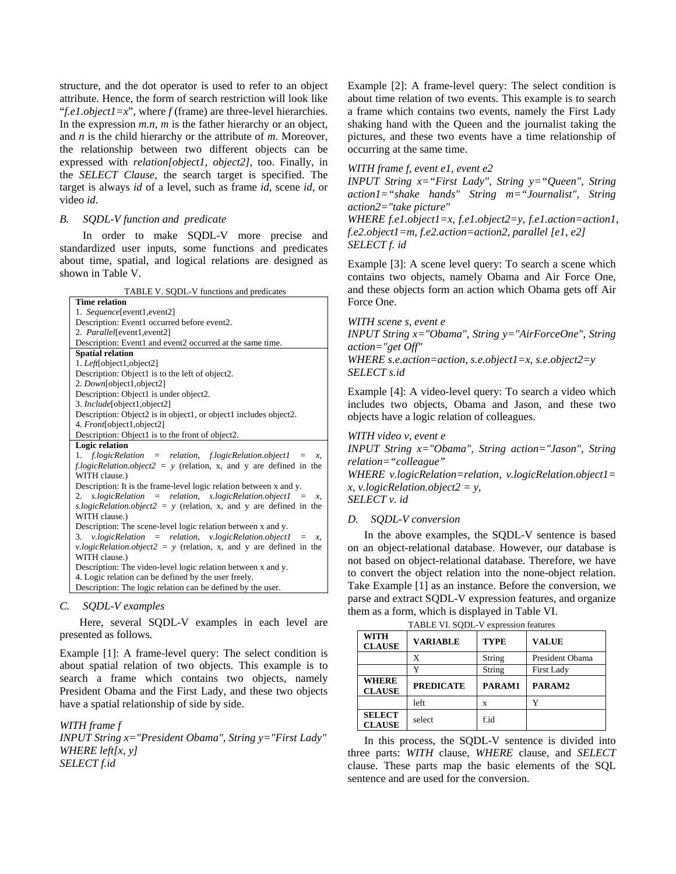structure, and the dot operator is used to refer to an object attribute. Hence, the form of search restriction will look like "*f.e1.object1=x*", where *f* (frame) are three-level hierarchies. In the expression *m.n*, *m* is the father hierarchy or an object, and *n* is the child hierarchy or the attribute of *m*. Moreover, the relationship between two different objects can be expressed with *relation[object1, object2]*, too. Finally, in the *SELECT Clause*, the search target is specified. The target is always *id* of a level, such as frame *id*, scene *id*, or video *id*.

## *B. SQDL-V function and predicate*

In order to make SQDL-V more precise and standardized user inputs, some functions and predicates about time, spatial, and logical relations are designed as shown in Table V.

TABLE V. SQDL-V functions and predicates

| <b>Time relation</b>                                                                |  |  |  |  |
|-------------------------------------------------------------------------------------|--|--|--|--|
| 1. Sequence[event1,event2]                                                          |  |  |  |  |
| Description: Event1 occurred before event2.                                         |  |  |  |  |
| 2. Parallel[event1,event2]                                                          |  |  |  |  |
| Description: Event1 and event2 occurred at the same time.                           |  |  |  |  |
| <b>Spatial relation</b>                                                             |  |  |  |  |
| 1. Left[object1,object2]                                                            |  |  |  |  |
| Description: Object1 is to the left of object2.                                     |  |  |  |  |
| 2. Down[object1,object2]                                                            |  |  |  |  |
| Description: Object1 is under object2.                                              |  |  |  |  |
| 3. Include[object1,object2]                                                         |  |  |  |  |
| Description: Object2 is in object1, or object1 includes object2.                    |  |  |  |  |
| 4. Front[object1,object2]                                                           |  |  |  |  |
| Description: Object1 is to the front of object2.                                    |  |  |  |  |
| Logic relation                                                                      |  |  |  |  |
| 1. $f_i logicRelation = relation, f_i logicRelation. object1 =$<br>$\mathcal{X}$    |  |  |  |  |
| $f. logic Relation. object2 = y$ (relation, x, and y are defined in the             |  |  |  |  |
| WITH clause.)                                                                       |  |  |  |  |
| Description: It is the frame-level logic relation between x and y.                  |  |  |  |  |
| $s.logicRelation = relation, s.logicRelation. object1 =$<br>2.<br>$\mathcal{X}$     |  |  |  |  |
| s.logicRelation.object2 = $y$ (relation, x, and y are defined in the                |  |  |  |  |
| WITH clause.)                                                                       |  |  |  |  |
| Description: The scene-level logic relation between x and y.                        |  |  |  |  |
| 3. v.logicRelation = relation, v.logicRelation.object1 =<br>$\mathcal{X}_{\bullet}$ |  |  |  |  |
| v.logicRelation.object2 = y (relation, x, and y are defined in the                  |  |  |  |  |
| WITH clause.)                                                                       |  |  |  |  |
| Description: The video-level logic relation between x and y.                        |  |  |  |  |
| 4. Logic relation can be defined by the user freely.                                |  |  |  |  |
| Description: The logic relation can be defined by the user.                         |  |  |  |  |

## *C. SQDL-V examples*

Here, several SQDL-V examples in each level are presented as follows.

Example [1]: A frame-level query: The select condition is about spatial relation of two objects. This example is to search a frame which contains two objects, namely President Obama and the First Lady, and these two objects have a spatial relationship of side by side.

*WITH frame f* 

*INPUT String x="President Obama", String y="First Lady" WHERE left[x, y] SELECT f.id* 

Example [2]: A frame-level query: The select condition is about time relation of two events. This example is to search a frame which contains two events, namely the First Lady shaking hand with the Queen and the journalist taking the pictures, and these two events have a time relationship of occurring at the same time.

```
WITH frame f, event e1, event e2
```
*INPUT String x="First Lady", String y="Queen", String action1="shake hands" String m="Journalist", String action2="take picture"* 

*WHERE f.e1.object1=x, f.e1.object2=y, f.e1.action=action1, f.e2.object1=m, f.e2.action=action2, parallel [e1, e2] SELECT f. id* 

Example [3]: A scene level query: To search a scene which contains two objects, namely Obama and Air Force One, and these objects form an action which Obama gets off Air Force One.

*WITH scene s, event e* 

*INPUT String x="Obama", String y="AirForceOne", String action="get Off" WHERE s.e.action=action, s.e.object1=x, s.e.object2=y SELECT s.id*

Example [4]: A video-level query: To search a video which includes two objects, Obama and Jason, and these two objects have a logic relation of colleagues.

#### *WITH video v, event e*

*INPUT String x="Obama", String action="Jason", String relation="colleague"* 

*WHERE v.logicRelation=relation, v.logicRelation.object1= x, v.logicRelation.object2 = y, SELECT v. id*

## *D. SQDL-V conversion*

In the above examples, the SQDL-V sentence is based on an object-relational database. However, our database is not based on object-relational database. Therefore, we have to convert the object relation into the none-object relation. Take Example [1] as an instance. Before the conversion, we parse and extract SQDL-V expression features, and organize them as a form, which is displayed in Table VI.

| <b>WITH</b><br><b>CLAUSE</b>   | <b>VARIABLE</b>  | <b>TYPE</b> | <b>VALUE</b>      |
|--------------------------------|------------------|-------------|-------------------|
|                                | X                | String      | President Obama   |
|                                | v                | String      | <b>First Lady</b> |
| <b>WHERE</b><br><b>CLAUSE</b>  | <b>PREDICATE</b> | PARAM1      | PARAM2            |
|                                | left             | X           |                   |
| <b>SELECT</b><br><b>CLAUSE</b> | select           | f.id        |                   |

TABLE VI. SQDL-V expression features

In this process, the SQDL-V sentence is divided into three parts: *WITH* clause, *WHERE* clause, and *SELECT* clause. These parts map the basic elements of the SQL sentence and are used for the conversion.